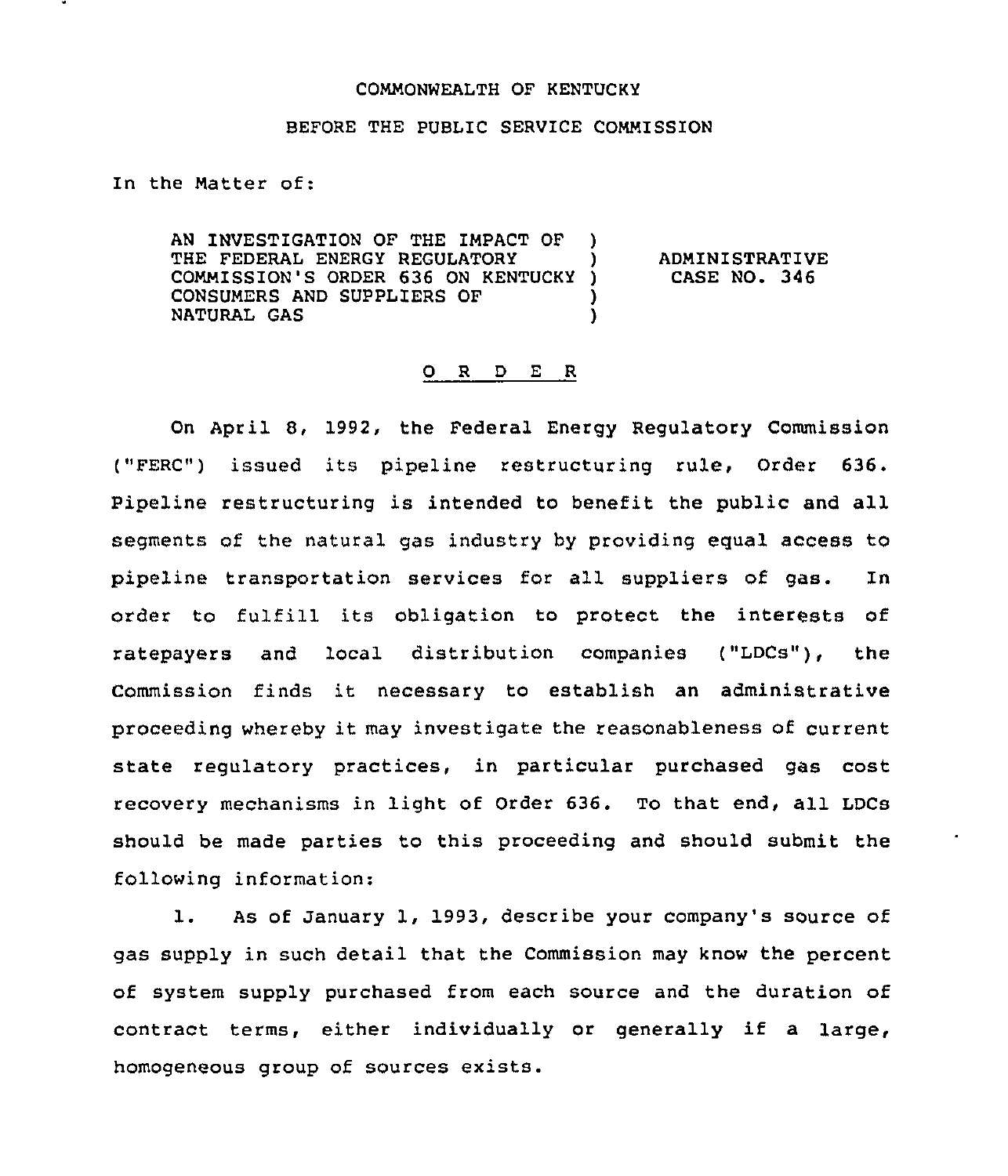## COMMONWEALTH OF KENTUCKY

## BEFORE THE PUBLIC SERVICE COMMISSION

In the Matter of:

AN INVESTIGATION OF THE IMPACT OF ) THE FEDERAL ENERGY REGULATORY COMMISSION'S ORDER 636 ON KENTUCKY ) CONSUMERS AND SUPPLIERS OF  $)$ <br>NATURAL GAS NATURAL GAS )

ADMINISTRATIVE CASE NO. 346

## 0 <sup>R</sup> <sup>D</sup> E <sup>R</sup>

On April 8, 1992, the Federal Energy Regulatory Commission ("FERC") issued its pipeline restructuring rule, Order 636. Pipeline restructuring is intended to benefit the public and all segments of the natural gas industry by providing egual access to pipeline transportation services for all suppliers of gas. In order to fulfill its obligation to protect the interests of ratepayers and local distribution companies ("LDCs"), the Commission finds it necessary to establish an administrative proceeding whereby it may investigate the reasonableness of current state regulatory practices, in particular purchased gas cost recovery mechanisms in light of Order 636. To that end, all LDCs should be made parties to this proceeding and should submit the following information:

1. As of January 1, 1993, describe your company's source of gas supply in such detail that the Commission may know the percent of system supply purchased from each source and the duration of contract terms, either individually or generally if <sup>a</sup> large, homogeneous group of sources exists.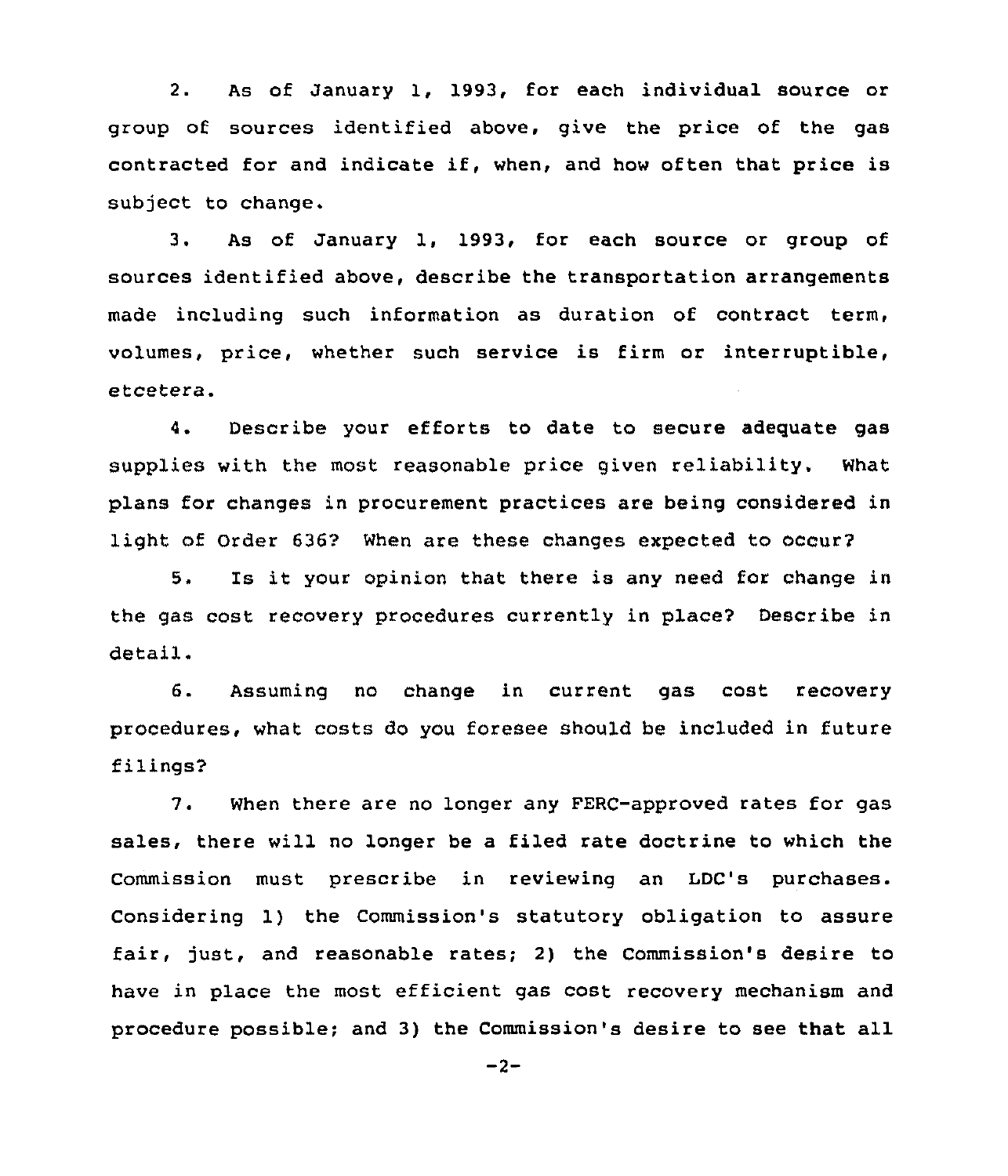2. As of January 1, 1993, for each individual source or group of sources identified above, give the price of the gas contracted for and indicate if, when, and how often that price is subject to change.

3. As of January 1, 1993, for each source or group of sources identified above, describe the transportation arrangements made including such information as duration of contract term, volumes, price, whether such service is firm or interruptible, etcetera.

4. Describe your efforts to date to secure adequate gas supplies with the most reasonable price given reliability. What plans for changes in procurement practices are being considered in light of Order 636? When are these changes expected to occury

5. Is it your opinion that there is any need for change in the gas cost recovery procedures currently in place2 Describe in detail.

6. Assuming no change in current gas cost recovery procedures, what costs do you foresee should be included in future filings?

7. When there are no longer any FERC-approved rates for gas sales, there will no longer be a filed rate doctrine to which the Commission must prescribe in reviewing an LDC's purchases. Considering 1) the Commission's statutory obligation to assure fair, just, and reasonable rates; 2) the Commission's desire to have in place the most efficient gas cost recovery mechanism and procedure possible; and 3) the Commission's desire to see that all

 $-2-$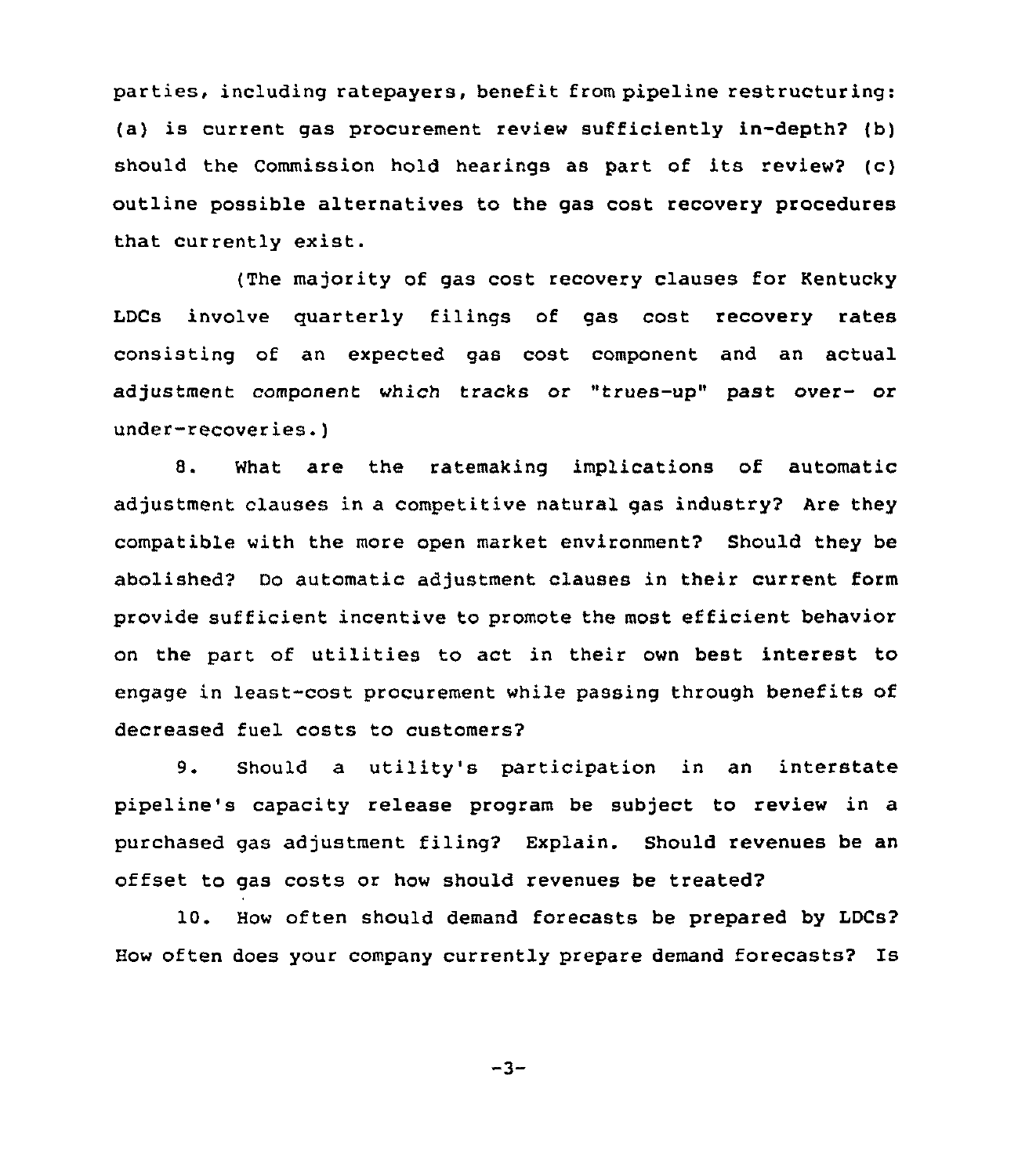parties, including ratepayers, benefit from pipeline restructuring: (a) is current gas procurement review sufficiently in-depth? (b) should the Commission hold hearings as part of its review2 (c) outline possible alternatives to the gas cost recovery procedures that currently exist.

(The majority of gas cost recovery clauses for Kentucky LDCs involve quarterly filings of gas cost recovery rates consisting of an expected gas cost component and an actual adjustment component which tracks or "trues-up" past over- or under-recoveries.)

8. What are the ratemaking implications of automatic adjustment clauses in a competitive natural gas industry? Are they compatible with the more open market environment? Should they be abolished? Do automatic adjustment clauses in their current form provide sufficient incentive to promote the most efficient behavior on the part of utilities to act in their own best interest to engage in least-cost procurement while passing through benefits of decreased fuel costs to customers?

9. Should a utility's participation in an interstate pipeline's capacity release program be subject to review in a purchased gas adjustment filing2 Explain. Should revenues be an offset to gas costs or how should revenues be treated?

10. How often should demand forecasts be prepared by LDCs? How often does your company currently prepare demand forecasts2 Is

 $-3-$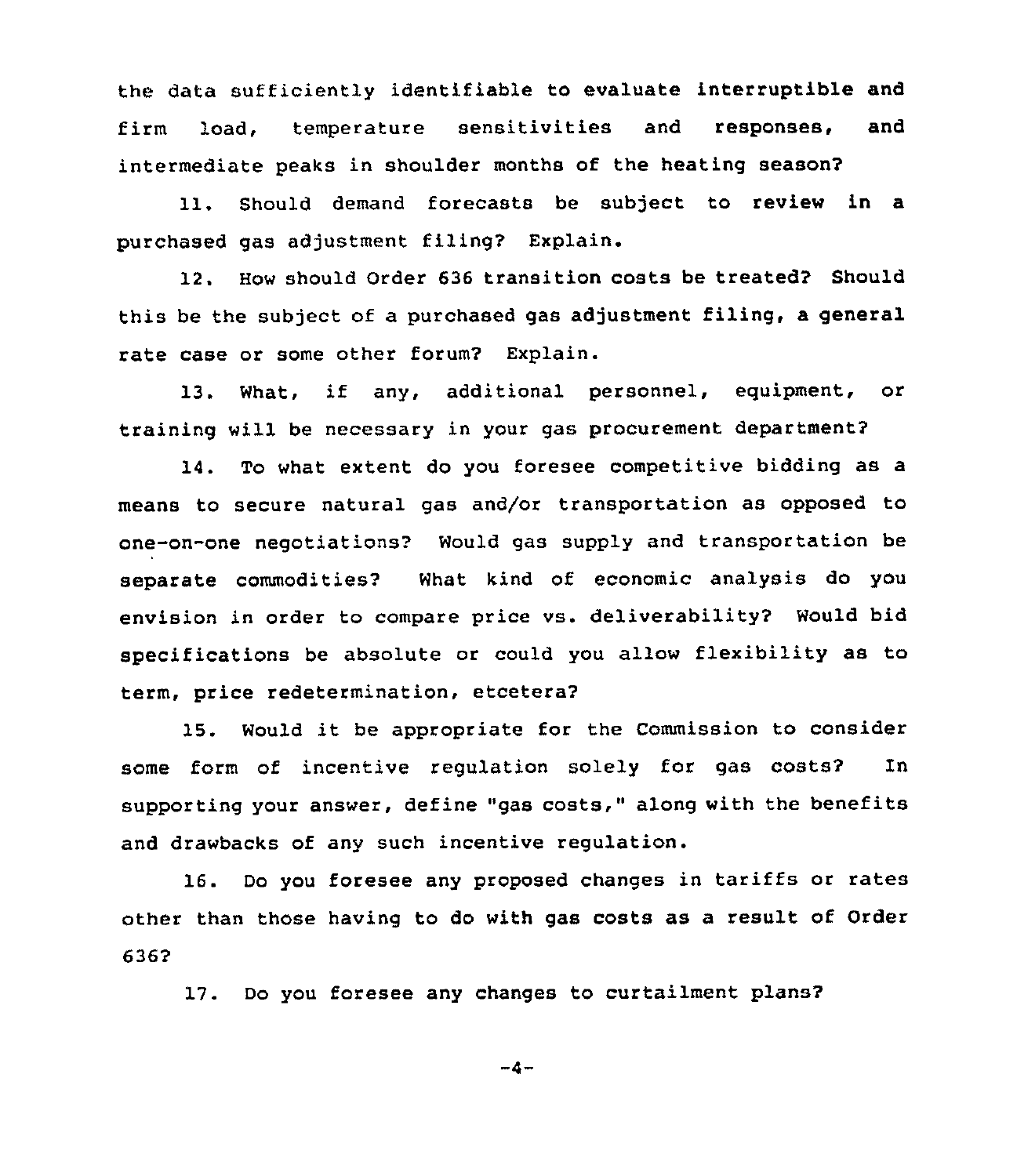the data sufficiently identifiable to evaluate interruptible and firm load, temperature sensitivities and responses, and intermediate peaks in shoulder months of the heating season?

11. Should demand forecasts be subject to review in a purchased gas adjustment filing? Explain.

12. How should Order 636 transition costs be treated? Should this be the subject of a purchased gas adjustment filing, a general rate case or some other forum? Explain.

13. What, if any, additional personnel, eguipment, or training will be necessary in your gas procurement department?

14. To what extent do you foresee competitive bidding as a means to secure natural gas and/or transportation as opposed to one-on-one negotiations'? Would gas supply and transportation be separate commodities? What kind of economic analysis do you envision in order to compare price vs. deliverability? Would bid specifications be absolute or could you allow flexibility as to term, price redetermination, etcetera2

15. Would it be appropriate for the Commission to consider some form of incentive regulation solely for gas costs? In supporting your answer, define "gas costs," along with the benefits and drawbacks of any such incentive regulation.

16. Do you foresee any proposed changes in tariffs or rates other than those having to do with gas costs as a result of Order 6362

17. Do you foresee any changes to curtailment plans?

 $-4-$